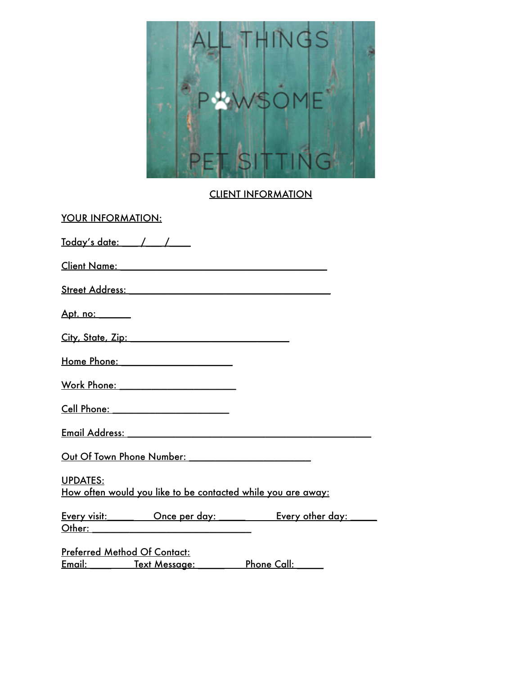

CLIENT INFORMATION

| <b>YOUR INFORMATION:</b>                                                                                                                                                                                                       |
|--------------------------------------------------------------------------------------------------------------------------------------------------------------------------------------------------------------------------------|
|                                                                                                                                                                                                                                |
| Client Name: Name and Separate and Separate and Separate and Separate and Separate and Separate and Separate and Separate and Separate and Separate and Separate and Separate and Separate and Separate and Separate and Separ |
| Street Address: No. 2014 12:00 12:00 12:00 12:00 12:00 12:00 12:00 12:00 12:00 12:00 12:00 12:00 12:00 12:00 1                                                                                                                 |
| <u>Apt. no: _______</u>                                                                                                                                                                                                        |
| City, State, Zip: 2008                                                                                                                                                                                                         |
| Home Phone: _______________________                                                                                                                                                                                            |
|                                                                                                                                                                                                                                |
| <u>Cell Phone: ____________________________</u>                                                                                                                                                                                |
|                                                                                                                                                                                                                                |
|                                                                                                                                                                                                                                |
| <b>UPDATES:</b><br>How often would you like to be contacted while you are away:                                                                                                                                                |
| Every visit: Chice per day: Every other day:                                                                                                                                                                                   |
| <b>Preferred Method Of Contact:</b><br>$\mathbf{r}$ and the contract of $\mathbf{r}$ and $\mathbf{r}$<br>$\blacksquare$                                                                                                        |

Email: \_\_\_\_\_\_ Text Message: \_\_\_\_\_\_ Phone Call: